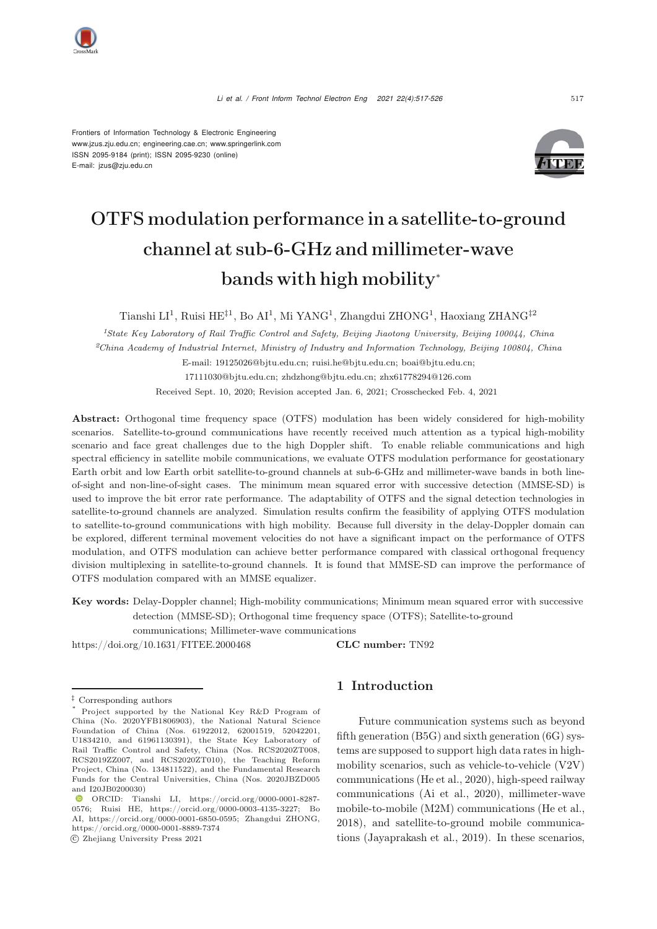*Li et al. / Front Inform Technol Electron Eng 2021 22(4):517-526* <sup>517</sup>

Frontiers of Information Technology & Electronic Engineering [www.jzus.zju.edu.cn;](www.jzus.zju.edu.cn) [engineering.cae.cn;](engineering.cae.cn)<www.springerlink.com> ISSN 2095-9184 (print); ISSN 2095-9230 (online) E-mail: jzus@zju.edu.cn



# OTFS modulation performance in a satellite-to-ground channel at sub-6-GHz and millimeter-wave bands with high mobility<sup>∗</sup>

Tianshi LI<sup>1</sup>, Ruisi HE<sup> $\ddagger$ 1</sup>, Bo AI<sup>1</sup>, Mi YANG<sup>1</sup>, Zhangdui ZHONG<sup>1</sup>, Haoxiang ZHANG<sup> $\ddagger$ 2</sup>

*<sup>1</sup>State Key Laboratory of Rail Traffic Control and Safety, Beijing Jiaotong University, Beijing 100044, China <sup>2</sup>China Academy of Industrial Internet, Ministry of Industry and Information Technology, Beijing 100804, China*

E-mail: 19125026@bjtu.edu.cn; ruisi.he@bjtu.edu.cn; boai@bjtu.edu.cn; 17111030@bjtu.edu.cn; zhdzhong@bjtu.edu.cn; zhx61778294@126.com

Received Sept. 10, 2020; Revision accepted Jan. 6, 2021; Crosschecked Feb. 4, 2021

Abstract: Orthogonal time frequency space (OTFS) modulation has been widely considered for high-mobility scenarios. Satellite-to-ground communications have recently received much attention as a typical high-mobility scenario and face great challenges due to the high Doppler shift. To enable reliable communications and high spectral efficiency in satellite mobile communications, we evaluate OTFS modulation performance for geostationary Earth orbit and low Earth orbit satellite-to-ground channels at sub-6-GHz and millimeter-wave bands in both lineof-sight and non-line-of-sight cases. The minimum mean squared error with successive detection (MMSE-SD) is used to improve the bit error rate performance. The adaptability of OTFS and the signal detection technologies in satellite-to-ground channels are analyzed. Simulation results confirm the feasibility of applying OTFS modulation to satellite-to-ground communications with high mobility. Because full diversity in the delay-Doppler domain can be explored, different terminal movement velocities do not have a significant impact on the performance of OTFS modulation, and OTFS modulation can achieve better performance compared with classical orthogonal frequency division multiplexing in satellite-to-ground channels. It is found that MMSE-SD can improve the performance of OTFS modulation compared with an MMSE equalizer.

Key words: Delay-Doppler channel; High-mobility communications; Minimum mean squared error with successive detection (MMSE-SD); Orthogonal time frequency space (OTFS); Satellite-to-ground

communications; Millimeter-wave communications

https://doi.org/10.1631/FITEE.2000468 **CLC number:** TN92

c Zhejiang University Press 2021

# 1 Introduction

Future communication systems such as beyond fifth generation (B5G) and sixth generation (6G) systems are supposed to support high data rates in highmobility scenarios, such as vehicle-to-vehicle (V2V) communications [\(He et al.](#page-9-0), [2020](#page-9-0)), high-speed railway communications [\(Ai et al.](#page-9-1), [2020\)](#page-9-1), millimeter-wave mobile-to-mobile (M2M) communications [\(He et al.](#page-9-2), [2018](#page-9-2)), and satellite-to-ground mobile communications [\(Jayaprakash et al.](#page-9-3), [2019\)](#page-9-3). In these scenarios,

*<sup>‡</sup>* Corresponding authors

Project supported by the National Key R&D Program of China (No. 2020YFB1806903), the National Natural Science Foundation of China (Nos. 61922012, 62001519, 52042201, U1834210, and 61961130391), the State Key Laboratory of Rail Traffic Control and Safety, China (Nos. RCS2020ZT008, RCS2019ZZ007, and RCS2020ZT010), the Teaching Reform Project, China (No. 134811522), and the Fundamental Research Funds for the Central Universities, China (Nos. 2020JBZD005 and I20JB0200030)

ORCID: Tianshi LI, https://orcid.org/0000-0001-8287- 0576; Ruisi HE, https://orcid.org/0000-0003-4135-3227; Bo AI, https://orcid.org/0000-0001-6850-0595; Zhangdui ZHONG, https://orcid.org/0000-0001-8889-7374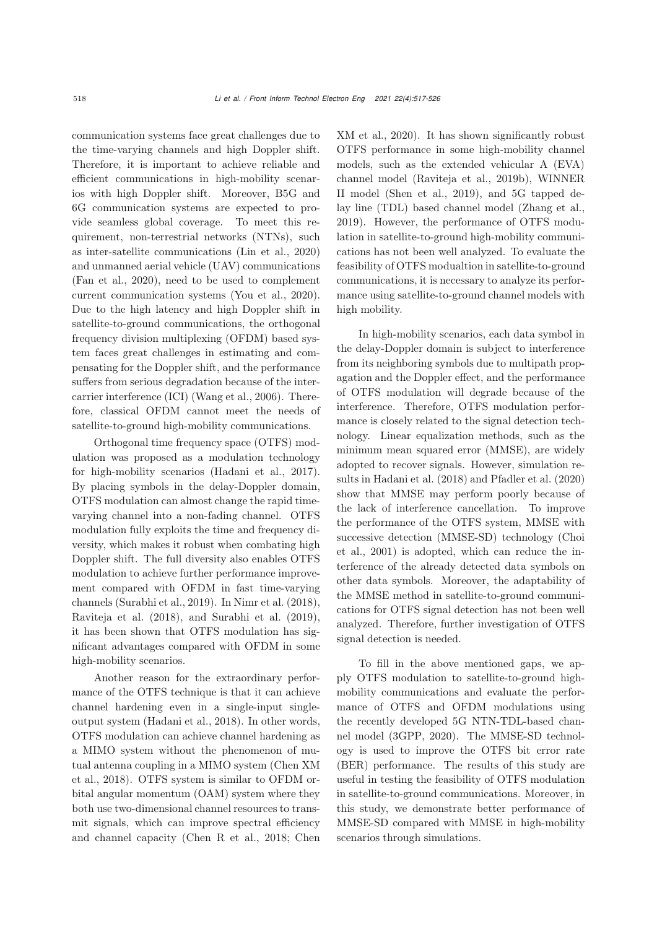communication systems face great challenges due to the time-varying channels and high Doppler shift. Therefore, it is important to achieve reliable and efficient communications in high-mobility scenarios with high Doppler shift. Moreover, B5G and 6G communication systems are expected to provide seamless global coverage. To meet this requirement, non-terrestrial networks (NTNs), such as inter-satellite communications [\(Lin et al., 2020\)](#page-9-4) and unmanned aerial vehicle (UAV) communications [\(Fan et al.](#page-9-5), [2020](#page-9-5)), need to be used to complement current communication systems [\(You et al., 2020\)](#page-9-6). Due to the high latency and high Doppler shift in satellite-to-ground communications, the orthogonal frequency division multiplexing (OFDM) based system faces great challenges in estimating and compensating for the Doppler shift, and the performance suffers from serious degradation because of the intercarrier interference (ICI) [\(Wang et al., 2006](#page-9-7)). Therefore, classical OFDM cannot meet the needs of satellite-to-ground high-mobility communications.

Orthogonal time frequency space (OTFS) modulation was proposed as a modulation technology for high-mobility scenarios [\(Hadani et al.](#page-9-8), [2017\)](#page-9-8). By placing symbols in the delay-Doppler domain, OTFS modulation can almost change the rapid timevarying channel into a non-fading channel. OTFS modulation fully exploits the time and frequency diversity, which makes it robust when combating high Doppler shift. The full diversity also enables OTFS modulation to achieve further performance improvement compared with OFDM in fast time-varying channels [\(Surabhi et al.](#page-9-9), [2019](#page-9-9)). In [Nimr et al.](#page-9-10) [\(2018\)](#page-9-10), [Raviteja et al.](#page-9-11) [\(2018](#page-9-11)), and [Surabhi et al.](#page-9-9) [\(2019\)](#page-9-9), it has been shown that OTFS modulation has significant advantages compared with OFDM in some high-mobility scenarios.

Another reason for the extraordinary performance of the OTFS technique is that it can achieve channel hardening even in a single-input singleoutput system [\(Hadani et al.](#page-9-12), [2018\)](#page-9-12). In other words, OTFS modulation can achieve channel hardening as a MIMO system without the phenomenon of mutual [antenna](#page-9-13) [coupling](#page-9-13) [in](#page-9-13) [a](#page-9-13) [MIMO](#page-9-13) [system](#page-9-13) [\(](#page-9-13)Chen XM et al., [2018\)](#page-9-13). OTFS system is similar to OFDM orbital angular momentum (OAM) system where they both use two-dimensional channel resources to transmit signals, which can improve spectral efficiency and channel capacity [\(Chen R et al.](#page-9-14), [2018;](#page-9-14) Chen [XM et al., 2020](#page-9-15)). It has shown significantly robust OTFS performance in some high-mobility channel models, such as the extended vehicular A (EVA) channel model [\(Raviteja et al.](#page-9-16), [2019b\)](#page-9-16), WINNER II model [\(Shen et al., 2019\)](#page-9-17), and 5G tapped delay line (TDL) based channel model [\(Zhang et al.](#page-9-18), [2019](#page-9-18)). However, the performance of OTFS modulation in satellite-to-ground high-mobility communications has not been well analyzed. To evaluate the feasibility of OTFS modualtion in satellite-to-ground communications, it is necessary to analyze its performance using satellite-to-ground channel models with high mobility.

In high-mobility scenarios, each data symbol in the delay-Doppler domain is subject to interference from its neighboring symbols due to multipath propagation and the Doppler effect, and the performance of OTFS modulation will degrade because of the interference. Therefore, OTFS modulation performance is closely related to the signal detection technology. Linear equalization methods, such as the minimum mean squared error (MMSE), are widely adopted to recover signals. However, simulation results in [Hadani et al.](#page-9-12) [\(2018\)](#page-9-12) and [Pfadler et al.](#page-9-19) [\(2020](#page-9-19)) show that MMSE may perform poorly because of the lack of interference cancellation. To improve the performance of the OTFS system, MMSE with succe[ssive](#page-9-20) [detection](#page-9-20) [\(MMSE-SD\)](#page-9-20) [technology](#page-9-20) [\(](#page-9-20)Choi et al., [2001\)](#page-9-20) is adopted, which can reduce the interference of the already detected data symbols on other data symbols. Moreover, the adaptability of the MMSE method in satellite-to-ground communications for OTFS signal detection has not been well analyzed. Therefore, further investigation of OTFS signal detection is needed.

To fill in the above mentioned gaps, we apply OTFS modulation to satellite-to-ground highmobility communications and evaluate the performance of OTFS and OFDM modulations using the recently developed 5G NTN-TDL-based channel model [\(3GPP](#page-9-21), [2020](#page-9-21)). The MMSE-SD technology is used to improve the OTFS bit error rate (BER) performance. The results of this study are useful in testing the feasibility of OTFS modulation in satellite-to-ground communications. Moreover, in this study, we demonstrate better performance of MMSE-SD compared with MMSE in high-mobility scenarios through simulations.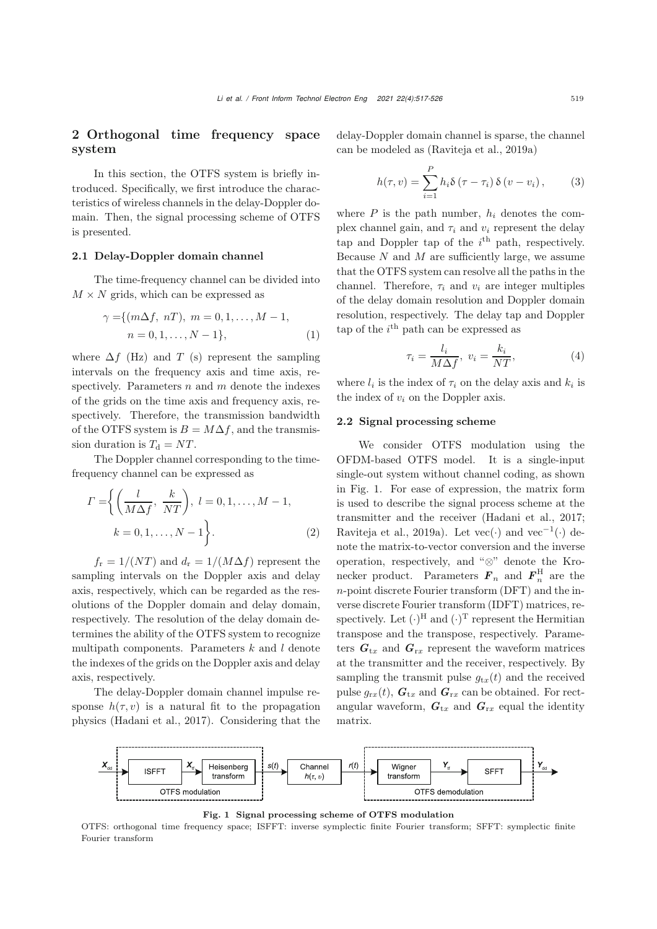# 2 Orthogonal time frequency space system

In this section, the OTFS system is briefly introduced. Specifically, we first introduce the characteristics of wireless channels in the delay-Doppler domain. Then, the signal processing scheme of OTFS is presented.

## 2.1 Delay-Doppler domain channel

The time-frequency channel can be divided into  $M \times N$  grids, which can be expressed as

$$
\gamma = \{ (m\Delta f, nT), m = 0, 1, ..., M - 1, n = 0, 1, ..., N - 1 \},
$$
 (1)

where  $\Delta f$  (Hz) and T (s) represent the sampling intervals on the frequency axis and time axis, respectively. Parameters  $n$  and  $m$  denote the indexes of the grids on the time axis and frequency axis, respectively. Therefore, the transmission bandwidth of the OTFS system is  $B = M\Delta f$ , and the transmission duration is  $T_d = NT$ .

The Doppler channel corresponding to the timefrequency channel can be expressed as

$$
\Gamma = \left\{ \left( \frac{l}{M \Delta f}, \frac{k}{NT} \right), l = 0, 1, \dots, M - 1, \right.\nk = 0, 1, \dots, N - 1 \right\}.
$$
\n(2)

 $f_r = 1/(NT)$  and  $d_r = 1/(M\Delta f)$  represent the sampling intervals on the Doppler axis and delay axis, respectively, which can be regarded as the resolutions of the Doppler domain and delay domain, respectively. The resolution of the delay domain determines the ability of the OTFS system to recognize multipath components. Parameters  $k$  and  $l$  denote the indexes of the grids on the Doppler axis and delay axis, respectively.

The delay-Doppler domain channel impulse response  $h(\tau, v)$  is a natural fit to the propagation physics [\(Hadani et al., 2017](#page-9-8)). Considering that the

delay-Doppler domain channel is sparse, the channel can be modeled as [\(Raviteja et al., 2019a](#page-9-22))

$$
h(\tau, v) = \sum_{i=1}^{P} h_i \delta(\tau - \tau_i) \delta(v - v_i), \qquad (3)
$$

where  $P$  is the path number,  $h_i$  denotes the complex channel gain, and  $\tau_i$  and  $v_i$  represent the delay tap and Doppler tap of the  $i<sup>th</sup>$  path, respectively. Because  $N$  and  $M$  are sufficiently large, we assume that the OTFS system can resolve all the paths in the channel. Therefore,  $\tau_i$  and  $v_i$  are integer multiples of the delay domain resolution and Doppler domain resolution, respectively. The delay tap and Doppler tap of the  $i^{\text{th}}$  path can be expressed as

$$
\tau_i = \frac{l_i}{M\Delta f}, \ v_i = \frac{k_i}{NT}, \tag{4}
$$

where  $l_i$  is the index of  $\tau_i$  on the delay axis and  $k_i$  is the index of  $v_i$  on the Doppler axis.

## 2.2 Signal processing scheme

We consider OTFS modulation using the OFDM-based OTFS model. It is a single-input single-out system without channel coding, as shown in Fig. [1.](#page-2-0) For ease of expression, the matrix form is used to describe the signal process scheme at the transmitter and the receiver [\(Hadani et al.](#page-9-8), [2017;](#page-9-8) [Raviteja et al., 2019a](#page-9-22)). Let vec $(\cdot)$  and vec<sup>-1</sup> $(\cdot)$  denote the matrix-to-vector conversion and the inverse operation, respectively, and "⊗" denote the Kronecker product. Parameters  $\mathbf{F}_n$  and  $\mathbf{F}_n^{\text{H}}$  are the n-point discrete Fourier transform (DFT) and the inverse discrete Fourier transform (IDFT) matrices, respectively. Let  $(\cdot)^H$  and  $(\cdot)^T$  represent the Hermitian transpose and the transpose, respectively. Parameters  $G_{tx}$  and  $G_{rx}$  represent the waveform matrices at the transmitter and the receiver, respectively. By sampling the transmit pulse  $g_{tx}(t)$  and the received pulse  $g_{rx}(t)$ ,  $G_{tx}$  and  $G_{rx}$  can be obtained. For rectangular waveform,  $G_{tx}$  and  $G_{rx}$  equal the identity matrix.



<span id="page-2-0"></span>Fig. 1 Signal processing scheme of OTFS modulation

OTFS: orthogonal time frequency space; ISFFT: inverse symplectic finite Fourier transform; SFFT: symplectic finite Fourier transform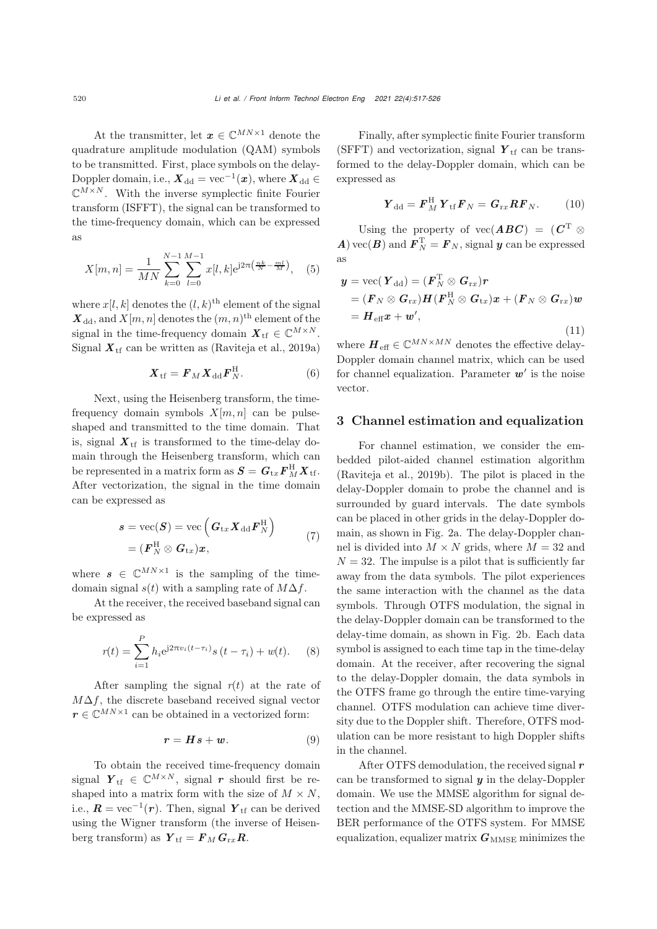At the transmitter, let  $\boldsymbol{x} \in \mathbb{C}^{MN \times 1}$  denote the quadrature amplitude modulation (QAM) symbols to be transmitted. First, place symbols on the delay-Doppler domain, i.e.,  $\boldsymbol{X}_{dd} = \text{vec}^{-1}(\boldsymbol{x})$ , where  $\boldsymbol{X}_{dd} \in$  $\mathbb{C}^{M\times N}$ . With the inverse symplectic finite Fourier transform (ISFFT), the signal can be transformed to the time-frequency domain, which can be expressed as

$$
X[m,n] = \frac{1}{MN} \sum_{k=0}^{N-1} \sum_{l=0}^{M-1} x[l,k] e^{j2\pi \left(\frac{nk}{N} - \frac{ml}{M}\right)}, \quad (5)
$$

where  $x[l, k]$  denotes the  $(l, k)$ <sup>th</sup> element of the signal  $\mathbf{X}_{\text{dd}}$ , and  $X[m, n]$  denotes the  $(m, n)$ <sup>th</sup> element of the signal in the time-frequency domain  $\mathbf{X}_{\text{tf}} \in \mathbb{C}^{M \times N}$ . Signal  $X_{\text{tf}}$  can be written as [\(Raviteja et al., 2019a\)](#page-9-22)

$$
\boldsymbol{X}_{\rm tf} = \boldsymbol{F}_M \boldsymbol{X}_{\rm dd} \boldsymbol{F}_N^{\rm H}.
$$
 (6)

Next, using the Heisenberg transform, the timefrequency domain symbols  $X[m, n]$  can be pulseshaped and transmitted to the time domain. That is, signal  $X_{\text{tf}}$  is transformed to the time-delay domain through the Heisenberg transform, which can be represented in a matrix form as  $\mathbf{S} = \mathbf{G}_{\text{tr}} \mathbf{F}_{M}^{\text{H}} \mathbf{X}_{\text{tf}}$ . After vectorization, the signal in the time domain can be expressed as

$$
s = \text{vec}(\boldsymbol{S}) = \text{vec}\left(\boldsymbol{G}_{\text{tx}}\boldsymbol{X}_{\text{dd}}\boldsymbol{F}_{N}^{\text{H}}\right) = (\boldsymbol{F}_{N}^{\text{H}} \otimes \boldsymbol{G}_{\text{tx}})\boldsymbol{x},
$$
\n(7)

where  $s \in \mathbb{C}^{MN \times 1}$  is the sampling of the timedomain signal  $s(t)$  with a sampling rate of  $M\Delta f$ .

At the receiver, the received baseband signal can be expressed as

$$
r(t) = \sum_{i=1}^{P} h_i e^{j2\pi v_i (t - \tau_i)} s (t - \tau_i) + w(t).
$$
 (8)

After sampling the signal  $r(t)$  at the rate of  $M\Delta f$ , the discrete baseband received signal vector  $r \in \mathbb{C}^{MN \times 1}$  can be obtained in a vectorized form:

$$
r = Hs + w. \tag{9}
$$

To obtain the received time-frequency domain signal  $Y_{\text{tf}} \in \mathbb{C}^{M \times N}$ , signal *r* should first be reshaped into a matrix form with the size of  $M \times N$ , i.e.,  $\mathbf{R} = \text{vec}^{-1}(\mathbf{r})$ . Then, signal  $\mathbf{Y}_{\text{tf}}$  can be derived using the Wigner transform (the inverse of Heisenberg transform) as  $Y_{\text{tf}} = F_M G_{\text{rx}} R$ .

Finally, after symplectic finite Fourier transform (SFFT) and vectorization, signal  $Y_{\text{tf}}$  can be transformed to the delay-Doppler domain, which can be expressed as

$$
\boldsymbol{Y}_{\rm dd} = \boldsymbol{F}_{M}^{\rm H} \boldsymbol{Y}_{\rm tf} \boldsymbol{F}_{N} = \boldsymbol{G}_{\rm rx} \boldsymbol{R} \boldsymbol{F}_{N}. \qquad (10)
$$

Using the property of  $\text{vec}(ABC) = (C^T \otimes$ *A*) vec(*B*) and  $\mathbf{F}_N^{\mathrm{T}} = \mathbf{F}_N$ , signal *y* can be expressed as

$$
\mathbf{y} = \text{vec}(\boldsymbol{Y}_{dd}) = (\boldsymbol{F}_{N}^{T} \otimes \boldsymbol{G}_{rx})\boldsymbol{r}
$$
  
\n
$$
= (\boldsymbol{F}_{N} \otimes \boldsymbol{G}_{rx})\boldsymbol{H}(\boldsymbol{F}_{N}^{H} \otimes \boldsymbol{G}_{tx})\boldsymbol{x} + (\boldsymbol{F}_{N} \otimes \boldsymbol{G}_{rx})\boldsymbol{w}
$$
  
\n
$$
= \boldsymbol{H}_{eff}\boldsymbol{x} + \boldsymbol{w}', \qquad (11)
$$

where  $\boldsymbol{H}_{\text{eff}} \in \mathbb{C}^{MN \times MN}$  denotes the effective delay-Doppler domain channel matrix, which can be used for channel equalization. Parameter  $w'$  is the noise vector.

## 3 Channel estimation and equalization

For channel estimation, we consider the embedded pilot-aided channel estimation algorithm [\(Raviteja et al., 2019b](#page-9-16)). The pilot is placed in the delay-Doppler domain to probe the channel and is surrounded by guard intervals. The date symbols can be placed in other grids in the delay-Doppler domain, as shown in Fig. [2a](#page-4-0). The delay-Doppler channel is divided into  $M \times N$  grids, where  $M = 32$  and  $N = 32$ . The impulse is a pilot that is sufficiently far away from the data symbols. The pilot experiences the same interaction with the channel as the data symbols. Through OTFS modulation, the signal in the delay-Doppler domain can be transformed to the delay-time domain, as shown in Fig. [2b](#page-4-0). Each data symbol is assigned to each time tap in the time-delay domain. At the receiver, after recovering the signal to the delay-Doppler domain, the data symbols in the OTFS frame go through the entire time-varying channel. OTFS modulation can achieve time diversity due to the Doppler shift. Therefore, OTFS modulation can be more resistant to high Doppler shifts in the channel.

After OTFS demodulation, the received signal *r* can be transformed to signal *y* in the delay-Doppler domain. We use the MMSE algorithm for signal detection and the MMSE-SD algorithm to improve the BER performance of the OTFS system. For MMSE equalization, equalizer matrix  $G_{\text{MMSE}}$  minimizes the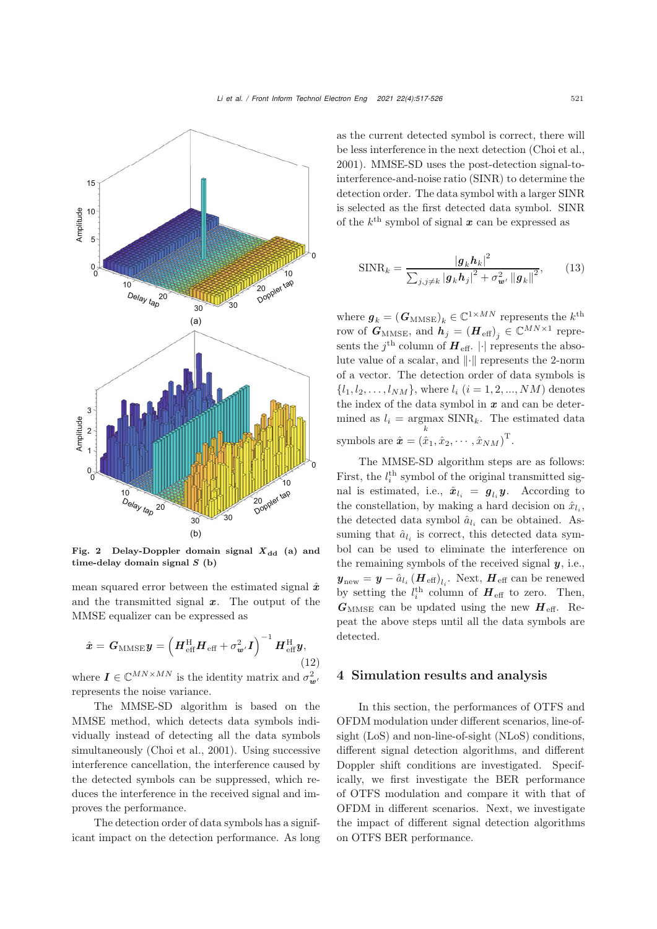

<span id="page-4-0"></span>Fig. 2 Delay-Doppler domain signal  $X_{dd}$  (a) and time-delay domain signal *S* (b)

mean squared error between the estimated signal  $\hat{x}$ and the transmitted signal *x*. The output of the MMSE equalizer can be expressed as

$$
\hat{\boldsymbol{x}} = \boldsymbol{G}_{\text{MMSE}} \boldsymbol{y} = \left( \boldsymbol{H}_{\text{eff}}^{\text{H}} \boldsymbol{H}_{\text{eff}} + \sigma_{\boldsymbol{w}'}^2 \boldsymbol{I} \right)^{-1} \boldsymbol{H}_{\text{eff}}^{\text{H}} \boldsymbol{y},
$$
\n(12)

where  $I \in \mathbb{C}^{MN \times MN}$  is the identity matrix and  $\sigma_w^2$ , represents the noise variance.

The MMSE-SD algorithm is based on the MMSE method, which detects data symbols individually instead of detecting all the data symbols simultaneously [\(Choi et al.](#page-9-20), [2001](#page-9-20)). Using successive interference cancellation, the interference caused by the detected symbols can be suppressed, which reduces the interference in the received signal and improves the performance.

The detection order of data symbols has a significant impact on the detection performance. As long as the current detected symbol is correct, there will be less interference in the next detection [\(Choi et al.](#page-9-20), [2001](#page-9-20)). MMSE-SD uses the post-detection signal-tointerference-and-noise ratio (SINR) to determine the detection order. The data symbol with a larger SINR is selected as the first detected data symbol. SINR of the  $k^{\text{th}}$  symbol of signal  $x$  can be expressed as

$$
\text{SINR}_{k} = \frac{|g_{k}h_{k}|^{2}}{\sum_{j,j \neq k} |g_{k}h_{j}|^{2} + \sigma_{w'}^{2} ||g_{k}||^{2}},\qquad(13)
$$

where  $g_k = (G_{\text{MMSE}})_k \in \mathbb{C}^{1 \times MN}$  represents the  $k^{\text{th}}$ row of  $\boldsymbol{G}_{\text{MMSE}}$ , and  $\boldsymbol{h}_j = (\boldsymbol{H}_{\text{eff}})_j \in \mathbb{C}^{MN \times 1}$  represents the  $j^{\text{th}}$  column of  $\boldsymbol{H}_{\text{eff}}$ . | | represents the absolute value of a scalar, and  $\lVert \cdot \rVert$  represents the 2-norm of a vector. The detection order of data symbols is  ${l_1, l_2,...,l_{NM}}$ , where  $l_i$   $(i = 1, 2,..., NM)$  denotes the index of the data symbol in *x* and can be determined as  $l_i = \underset{k}{\text{argmax}}$  SINR<sub>k</sub>. The estimated data k symbols are  $\hat{\boldsymbol{x}} = (\hat{x}_1, \hat{x}_2, \cdots, \hat{x}_{NM})^{\mathrm{T}}$ .

The MMSE-SD algorithm steps are as follows: First, the  $l_i^{\text{th}}$  symbol of the original transmitted signal is estimated, i.e.,  $\hat{x}_{l_i} = g_{l_i} y$ . According to the constellation, by making a hard decision on  $\hat{x}_{l_i}$ , the detected data symbol  $\hat{a}_{l_i}$  can be obtained. Assuming that  $\hat{a}_{l_i}$  is correct, this detected data symbol can be used to eliminate the interference on the remaining symbols of the received signal *y*, i.e.,  $y_{\text{new}} = y - \hat{a}_{l_i} (H_{\text{eff}})_{l_i}$ . Next,  $H_{\text{eff}}$  can be renewed by setting the  $l_i^{\text{th}}$  column of  $\boldsymbol{H}_{\text{eff}}$  to zero. Then,  $G_{\text{MMSE}}$  can be updated using the new  $H_{\text{eff}}$ . Repeat the above steps until all the data symbols are detected.

## 4 Simulation results and analysis

In this section, the performances of OTFS and OFDM modulation under different scenarios, line-ofsight (LoS) and non-line-of-sight (NLoS) conditions, different signal detection algorithms, and different Doppler shift conditions are investigated. Specifically, we first investigate the BER performance of OTFS modulation and compare it with that of OFDM in different scenarios. Next, we investigate the impact of different signal detection algorithms on OTFS BER performance.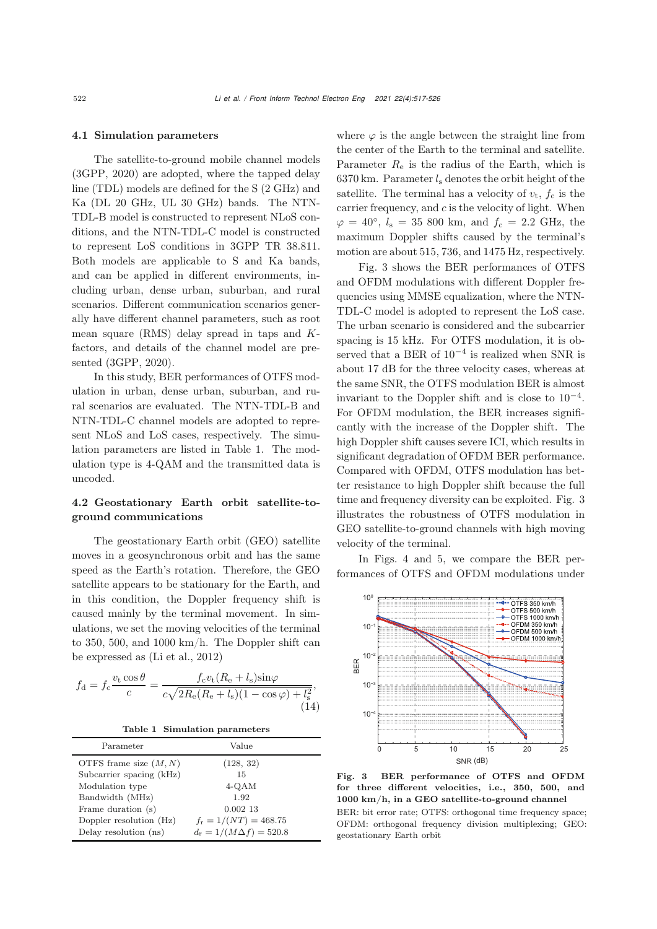#### 4.1 Simulation parameters

The satellite-to-ground mobile channel models [\(3GPP](#page-9-21), [2020\)](#page-9-21) are adopted, where the tapped delay line (TDL) models are defined for the S (2 GHz) and Ka (DL 20 GHz, UL 30 GHz) bands. The NTN-TDL-B model is constructed to represent NLoS conditions, and the NTN-TDL-C model is constructed to represent LoS conditions in 3GPP TR 38.811. Both models are applicable to S and Ka bands, and can be applied in different environments, including urban, dense urban, suburban, and rural scenarios. Different communication scenarios generally have different channel parameters, such as root mean square (RMS) delay spread in taps and Kfactors, and details of the channel model are presented [\(3GPP, 2020\)](#page-9-21).

In this study, BER performances of OTFS modulation in urban, dense urban, suburban, and rural scenarios are evaluated. The NTN-TDL-B and NTN-TDL-C channel models are adopted to represent NLoS and LoS cases, respectively. The simulation parameters are listed in Table [1.](#page-5-0) The modulation type is 4-QAM and the transmitted data is uncoded.

# 4.2 Geostationary Earth orbit satellite-toground communications

The geostationary Earth orbit (GEO) satellite moves in a geosynchronous orbit and has the same speed as the Earth's rotation. Therefore, the GEO satellite appears to be stationary for the Earth, and in this condition, the Doppler frequency shift is caused mainly by the terminal movement. In simulations, we set the moving velocities of the terminal to 350, 500, and 1000 km/h. The Doppler shift can be expressed as [\(Li et al.](#page-9-23), [2012](#page-9-23))

$$
f_{\rm d} = f_{\rm c} \frac{v_{\rm t} \cos \theta}{c} = \frac{f_{\rm c} v_{\rm t} (R_{\rm e} + l_{\rm s}) \sin \varphi}{c \sqrt{2R_{\rm e}(R_{\rm e} + l_{\rm s}) (1 - \cos \varphi) + l_{\rm s}^2}},\tag{14}
$$

<span id="page-5-0"></span>Table 1 Simulation parameters

| Parameter                | Value                               |
|--------------------------|-------------------------------------|
| OTFS frame size $(M, N)$ | (128, 32)                           |
| Subcarrier spacing (kHz) | 15                                  |
| Modulation type          | 4-QAM                               |
| Bandwidth (MHz)          | 1.92                                |
| Frame duration (s)       | $0.002$ 13                          |
| Doppler resolution (Hz)  | $f_{\rm r} = 1/(NT) = 468.75$       |
| Delay resolution (ns)    | $d_{\rm r} = 1/(M\Delta f) = 520.8$ |

where  $\varphi$  is the angle between the straight line from the center of the Earth to the terminal and satellite. Parameter  $R_e$  is the radius of the Earth, which is 6370 km. Parameter  $l_s$  denotes the orbit height of the satellite. The terminal has a velocity of  $v_t$ ,  $f_c$  is the carrier frequency, and  $c$  is the velocity of light. When  $\varphi = 40^{\circ}, l_s = 35,800$  km, and  $f_c = 2.2$  GHz, the maximum Doppler shifts caused by the terminal's motion are about 515, 736, and 1475 Hz, respectively.

Fig. [3](#page-5-1) shows the BER performances of OTFS and OFDM modulations with different Doppler frequencies using MMSE equalization, where the NTN-TDL-C model is adopted to represent the LoS case. The urban scenario is considered and the subcarrier spacing is 15 kHz. For OTFS modulation, it is observed that a BER of  $10^{-4}$  is realized when SNR is about 17 dB for the three velocity cases, whereas at the same SNR, the OTFS modulation BER is almost invariant to the Doppler shift and is close to 10<sup>−</sup><sup>4</sup>. For OFDM modulation, the BER increases significantly with the increase of the Doppler shift. The high Doppler shift causes severe ICI, which results in significant degradation of OFDM BER performance. Compared with OFDM, OTFS modulation has better resistance to high Doppler shift because the full time and frequency diversity can be exploited. Fig. [3](#page-5-1) illustrates the robustness of OTFS modulation in GEO satellite-to-ground channels with high moving velocity of the terminal.

In Figs. [4](#page-6-0) and [5,](#page-6-1) we compare the BER performances of OTFS and OFDM modulations under



<span id="page-5-1"></span>Fig. 3 BER performance of OTFS and OFDM for three different velocities, i.e., 350, 500, and 1000 km/h, in a GEO satellite-to-ground channel

BER: bit error rate; OTFS: orthogonal time frequency space; OFDM: orthogonal frequency division multiplexing; GEO: geostationary Earth orbit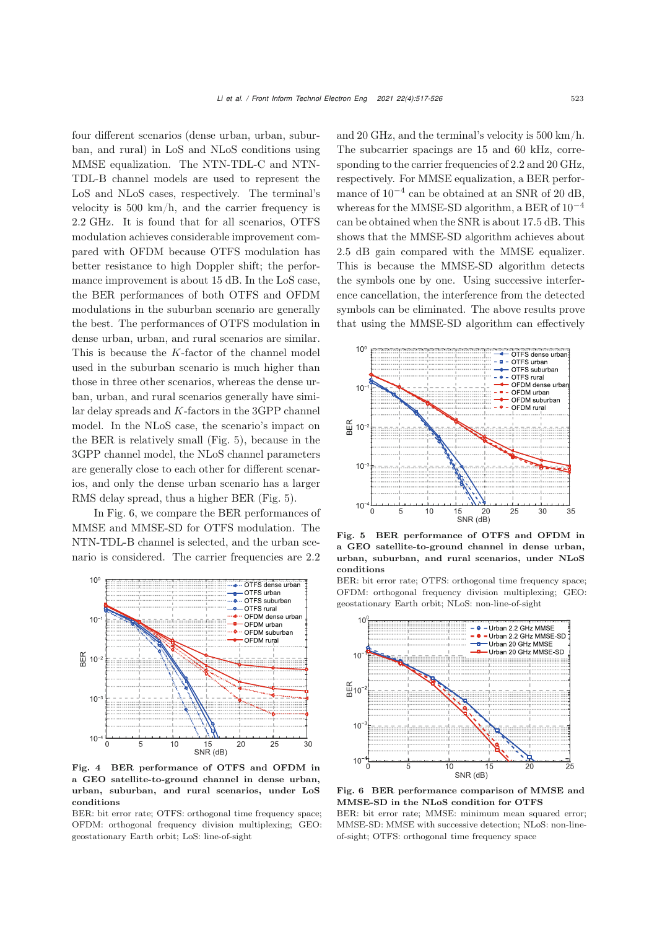four different scenarios (dense urban, urban, suburban, and rural) in LoS and NLoS conditions using MMSE equalization. The NTN-TDL-C and NTN-TDL-B channel models are used to represent the LoS and NLoS cases, respectively. The terminal's velocity is 500 km/h, and the carrier frequency is 2.2 GHz. It is found that for all scenarios, OTFS modulation achieves considerable improvement compared with OFDM because OTFS modulation has better resistance to high Doppler shift; the performance improvement is about 15 dB. In the LoS case, the BER performances of both OTFS and OFDM modulations in the suburban scenario are generally the best. The performances of OTFS modulation in dense urban, urban, and rural scenarios are similar. This is because the K-factor of the channel model used in the suburban scenario is much higher than those in three other scenarios, whereas the dense urban, urban, and rural scenarios generally have similar delay spreads and K-factors in the 3GPP channel model. In the NLoS case, the scenario's impact on the BER is relatively small (Fig. [5\)](#page-6-1), because in the 3GPP channel model, the NLoS channel parameters are generally close to each other for different scenarios, and only the dense urban scenario has a larger RMS delay spread, thus a higher BER (Fig. [5\)](#page-6-1).

In Fig. [6,](#page-6-2) we compare the BER performances of MMSE and MMSE-SD for OTFS modulation. The NTN-TDL-B channel is selected, and the urban scenario is considered. The carrier frequencies are 2.2



<span id="page-6-0"></span>Fig. 4 BER performance of OTFS and OFDM in a GEO satellite-to-ground channel in dense urban, urban, suburban, and rural scenarios, under LoS conditions

BER: bit error rate; OTFS: orthogonal time frequency space; OFDM: orthogonal frequency division multiplexing; GEO: geostationary Earth orbit; LoS: line-of-sight

and 20 GHz, and the terminal's velocity is 500 km/h. The subcarrier spacings are 15 and 60 kHz, corresponding to the carrier frequencies of 2.2 and 20 GHz, respectively. For MMSE equalization, a BER performance of 10−<sup>4</sup> can be obtained at an SNR of 20 dB, whereas for the MMSE-SD algorithm, a BER of  $10^{-4}$ can be obtained when the SNR is about 17.5 dB. This shows that the MMSE-SD algorithm achieves about 2.5 dB gain compared with the MMSE equalizer. This is because the MMSE-SD algorithm detects the symbols one by one. Using successive interference cancellation, the interference from the detected symbols can be eliminated. The above results prove that using the MMSE-SD algorithm can effectively



<span id="page-6-1"></span>Fig. 5 BER performance of OTFS and OFDM in a GEO satellite-to-ground channel in dense urban, urban, suburban, and rural scenarios, under NLoS conditions

BER: bit error rate; OTFS: orthogonal time frequency space; OFDM: orthogonal frequency division multiplexing; GEO: geostationary Earth orbit; NLoS: non-line-of-sight



<span id="page-6-2"></span>Fig. 6 BER performance comparison of MMSE and MMSE-SD in the NLoS condition for OTFS BER: bit error rate; MMSE: minimum mean squared error; MMSE-SD: MMSE with successive detection; NLoS: non-lineof-sight; OTFS: orthogonal time frequency space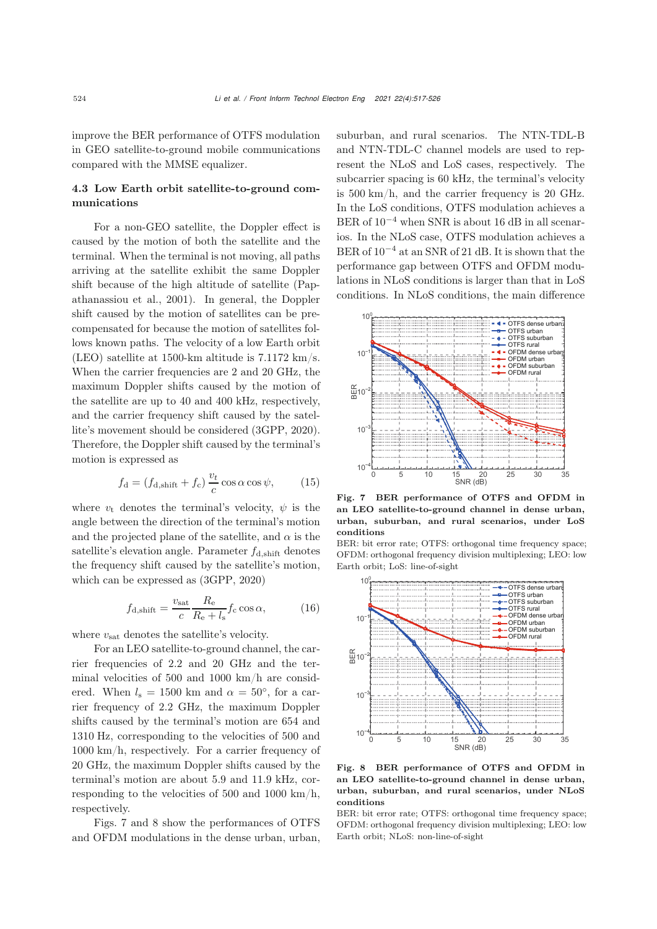improve the BER performance of OTFS modulation in GEO satellite-to-ground mobile communications compared with the MMSE equalizer.

# 4.3 Low Earth orbit satellite-to-ground communications

For a non-GEO satellite, the Doppler effect is caused by the motion of both the satellite and the terminal. When the terminal is not moving, all paths arriving at the satellite exhibit the same Doppler shift because of t[he](#page-9-24) [high](#page-9-24) [altitude](#page-9-24) [of](#page-9-24) [satellite](#page-9-24) [\(](#page-9-24)Papathanassiou et al., [2001\)](#page-9-24). In general, the Doppler shift caused by the motion of satellites can be precompensated for because the motion of satellites follows known paths. The velocity of a low Earth orbit (LEO) satellite at 1500-km altitude is 7.1172 km/s. When the carrier frequencies are 2 and 20 GHz, the maximum Doppler shifts caused by the motion of the satellite are up to 40 and 400 kHz, respectively, and the carrier frequency shift caused by the satellite's movement should be considered [\(3GPP](#page-9-21), [2020\)](#page-9-21). Therefore, the Doppler shift caused by the terminal's motion is expressed as

$$
f_{\rm d} = (f_{\rm d,shift} + f_{\rm c}) \frac{v_t}{c} \cos \alpha \cos \psi, \qquad (15)
$$

where  $v_t$  denotes the terminal's velocity,  $\psi$  is the angle between the direction of the terminal's motion and the projected plane of the satellite, and  $\alpha$  is the satellite's elevation angle. Parameter  $f_{\text{d,shift}}$  denotes the frequency shift caused by the satellite's motion, which can be expressed as [\(3GPP, 2020\)](#page-9-21)

$$
f_{\rm d,shift} = \frac{v_{\rm sat}}{c} \frac{R_{\rm e}}{R_{\rm e} + l_{\rm s}} f_{\rm c} \cos \alpha, \tag{16}
$$

where  $v_{\text{sat}}$  denotes the satellite's velocity.

For an LEO satellite-to-ground channel, the carrier frequencies of 2.2 and 20 GHz and the terminal velocities of 500 and 1000 km/h are considered. When  $l_s = 1500$  km and  $\alpha = 50^{\circ}$ , for a carrier frequency of 2.2 GHz, the maximum Doppler shifts caused by the terminal's motion are 654 and 1310 Hz, corresponding to the velocities of 500 and 1000 km/h, respectively. For a carrier frequency of 20 GHz, the maximum Doppler shifts caused by the terminal's motion are about 5.9 and 11.9 kHz, corresponding to the velocities of 500 and 1000 km/h, respectively.

Figs. [7](#page-7-0) and [8](#page-7-1) show the performances of OTFS and OFDM modulations in the dense urban, urban,

suburban, and rural scenarios. The NTN-TDL-B and NTN-TDL-C channel models are used to represent the NLoS and LoS cases, respectively. The subcarrier spacing is 60 kHz, the terminal's velocity is 500 km/h, and the carrier frequency is 20 GHz. In the LoS conditions, OTFS modulation achieves a BER of  $10^{-4}$  when SNR is about 16 dB in all scenarios. In the NLoS case, OTFS modulation achieves a BER of 10−<sup>4</sup> at an SNR of 21 dB. It is shown that the performance gap between OTFS and OFDM modulations in NLoS conditions is larger than that in LoS conditions. In NLoS conditions, the main difference



<span id="page-7-0"></span>Fig. 7 BER performance of OTFS and OFDM in an LEO satellite-to-ground channel in dense urban, urban, suburban, and rural scenarios, under LoS conditions

BER: bit error rate; OTFS: orthogonal time frequency space; OFDM: orthogonal frequency division multiplexing; LEO: low Earth orbit; LoS: line-of-sight



<span id="page-7-1"></span>Fig. 8 BER performance of OTFS and OFDM in an LEO satellite-to-ground channel in dense urban, urban, suburban, and rural scenarios, under NLoS conditions

BER: bit error rate; OTFS: orthogonal time frequency space; OFDM: orthogonal frequency division multiplexing; LEO: low Earth orbit; NLoS: non-line-of-sight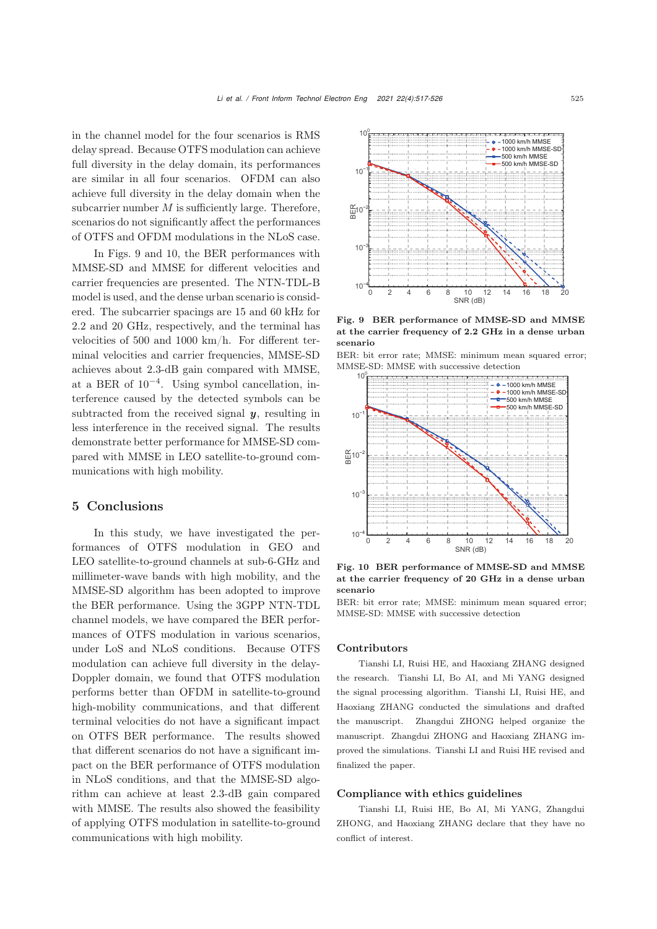in the channel model for the four scenarios is RMS delay spread. Because OTFS modulation can achieve full diversity in the delay domain, its performances are similar in all four scenarios. OFDM can also achieve full diversity in the delay domain when the subcarrier number  $M$  is sufficiently large. Therefore, scenarios do not significantly affect the performances of OTFS and OFDM modulations in the NLoS case.

In Figs. [9](#page-8-0) and [10,](#page-8-1) the BER performances with MMSE-SD and MMSE for different velocities and carrier frequencies are presented. The NTN-TDL-B model is used, and the dense urban scenario is considered. The subcarrier spacings are 15 and 60 kHz for 2.2 and 20 GHz, respectively, and the terminal has velocities of 500 and 1000 km/h. For different terminal velocities and carrier frequencies, MMSE-SD achieves about 2.3-dB gain compared with MMSE, at a BER of  $10^{-4}$ . Using symbol cancellation, interference caused by the detected symbols can be subtracted from the received signal *y*, resulting in less interference in the received signal. The results demonstrate better performance for MMSE-SD compared with MMSE in LEO satellite-to-ground communications with high mobility.

# 5 Conclusions

In this study, we have investigated the performances of OTFS modulation in GEO and LEO satellite-to-ground channels at sub-6-GHz and millimeter-wave bands with high mobility, and the MMSE-SD algorithm has been adopted to improve the BER performance. Using the 3GPP NTN-TDL channel models, we have compared the BER performances of OTFS modulation in various scenarios, under LoS and NLoS conditions. Because OTFS modulation can achieve full diversity in the delay-Doppler domain, we found that OTFS modulation performs better than OFDM in satellite-to-ground high-mobility communications, and that different terminal velocities do not have a significant impact on OTFS BER performance. The results showed that different scenarios do not have a significant impact on the BER performance of OTFS modulation in NLoS conditions, and that the MMSE-SD algorithm can achieve at least 2.3-dB gain compared with MMSE. The results also showed the feasibility of applying OTFS modulation in satellite-to-ground communications with high mobility.



<span id="page-8-0"></span>Fig. 9 BER performance of MMSE-SD and MMSE at the carrier frequency of 2.2 GHz in a dense urban scenario

BER: bit error rate; MMSE: minimum mean squared error; MMSE-SD: MMSE with successive detection



<span id="page-8-1"></span>Fig. 10 BER performance of MMSE-SD and MMSE at the carrier frequency of 20 GHz in a dense urban scenario

BER: bit error rate; MMSE: minimum mean squared error; MMSE-SD: MMSE with successive detection

## Contributors

Tianshi LI, Ruisi HE, and Haoxiang ZHANG designed the research. Tianshi LI, Bo AI, and Mi YANG designed the signal processing algorithm. Tianshi LI, Ruisi HE, and Haoxiang ZHANG conducted the simulations and drafted the manuscript. Zhangdui ZHONG helped organize the manuscript. Zhangdui ZHONG and Haoxiang ZHANG improved the simulations. Tianshi LI and Ruisi HE revised and finalized the paper.

## Compliance with ethics guidelines

Tianshi LI, Ruisi HE, Bo AI, Mi YANG, Zhangdui ZHONG, and Haoxiang ZHANG declare that they have no conflict of interest.